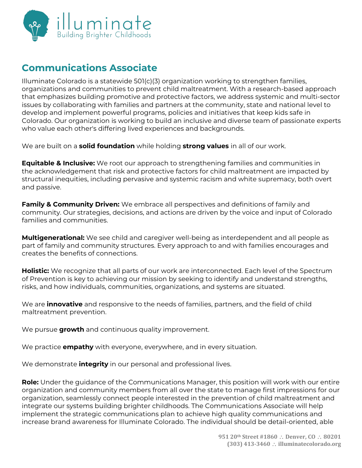

# **Communications Associate**

Illuminate Colorado is a statewide 501(c)(3) organization working to strengthen families, organizations and communities to prevent child maltreatment. With a research-based approach that emphasizes building promotive and protective factors, we address systemic and multi-sector issues by collaborating with families and partners at the community, state and national level to develop and implement powerful programs, policies and initiatives that keep kids safe in Colorado. Our organization is working to build an inclusive and diverse team of passionate experts who value each other's differing lived experiences and backgrounds.

We are built on a **solid foundation** while holding **strong values** in all of our work.

**Equitable & Inclusive:** We root our approach to strengthening families and communities in the acknowledgement that risk and protective factors for child maltreatment are impacted by structural inequities, including pervasive and systemic racism and white supremacy, both overt and passive.

**Family & Community Driven:** We embrace all perspectives and definitions of family and community. Our strategies, decisions, and actions are driven by the voice and input of Colorado families and communities.

**Multigenerational:** We see child and caregiver well-being as interdependent and all people as part of family and community structures. Every approach to and with families encourages and creates the benefits of connections.

**Holistic:** We recognize that all parts of our work are interconnected. Each level of the Spectrum of Prevention is key to achieving our mission by seeking to identify and understand strengths, risks, and how individuals, communities, organizations, and systems are situated.

We are **innovative** and responsive to the needs of families, partners, and the field of child maltreatment prevention.

We pursue **growth** and continuous quality improvement.

We practice **empathy** with everyone, everywhere, and in every situation.

We demonstrate **integrity** in our personal and professional lives.

**Role:** Under the guidance of the Communications Manager, this position will work with our entire organization and community members from all over the state to manage first impressions for our organization, seamlessly connect people interested in the prevention of child maltreatment and integrate our systems building brighter childhoods. The Communications Associate will help implement the strategic communications plan to achieve high quality communications and increase brand awareness for Illuminate Colorado. The individual should be detail-oriented, able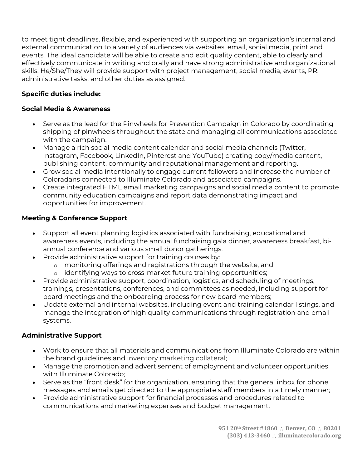to meet tight deadlines, flexible, and experienced with supporting an organization's internal and external communication to a variety of audiences via websites, email, social media, print and events. The ideal candidate will be able to create and edit quality content, able to clearly and effectively communicate in writing and orally and have strong administrative and organizational skills. He/She/They will provide support with project management, social media, events, PR, administrative tasks, and other duties as assigned.

# **Specific duties include:**

## **Social Media & Awareness**

- Serve as the lead for the Pinwheels for Prevention Campaign in Colorado by coordinating shipping of pinwheels throughout the state and managing all communications associated with the campaign.
- Manage a rich social media content calendar and social media channels (Twitter, Instagram, Facebook, LinkedIn, Pinterest and YouTube) creating copy/media content, publishing content, community and reputational management and reporting.
- Grow social media intentionally to engage current followers and increase the number of Coloradans connected to Illuminate Colorado and associated campaigns.
- Create integrated HTML email marketing campaigns and social media content to promote community education campaigns and report data demonstrating impact and opportunities for improvement.

## **Meeting & Conference Support**

- Support all event planning logistics associated with fundraising, educational and awareness events, including the annual fundraising gala dinner, awareness breakfast, biannual conference and various small donor gatherings.
- Provide administrative support for training courses by:
	- o monitoring offerings and registrations through the website, and
	- o identifying ways to cross-market future training opportunities;
- Provide administrative support, coordination, logistics, and scheduling of meetings, trainings, presentations, conferences, and committees as needed, including support for board meetings and the onboarding process for new board members;
- Update external and internal websites, including event and training calendar listings, and manage the integration of high quality communications through registration and email systems.

#### **Administrative Support**

- Work to ensure that all materials and communications from Illuminate Colorado are within the brand guidelines and inventory marketing collateral;
- Manage the promotion and advertisement of employment and volunteer opportunities with Illuminate Colorado;
- Serve as the "front desk" for the organization, ensuring that the general inbox for phone messages and emails get directed to the appropriate staff members in a timely manner;
- Provide administrative support for financial processes and procedures related to communications and marketing expenses and budget management.